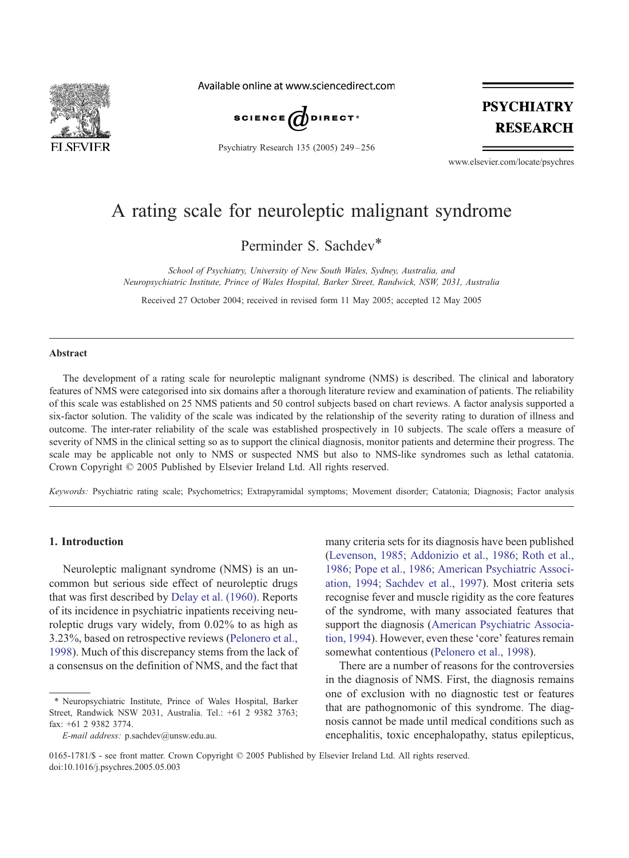

Available online at www.sciencedirect.com



Psychiatry Research 135 (2005) 249 – 256

# **PSYCHIATRY RESEARCH**

www.elsevier.com/locate/psychres

## A rating scale for neuroleptic malignant syndrome

Perminder S. Sachdev\*

School of Psychiatry, University of New South Wales, Sydney, Australia, and Neuropsychiatric Institute, Prince of Wales Hospital, Barker Street, Randwick, NSW, 2031, Australia

Received 27 October 2004; received in revised form 11 May 2005; accepted 12 May 2005

#### Abstract

The development of a rating scale for neuroleptic malignant syndrome (NMS) is described. The clinical and laboratory features of NMS were categorised into six domains after a thorough literature review and examination of patients. The reliability of this scale was established on 25 NMS patients and 50 control subjects based on chart reviews. A factor analysis supported a six-factor solution. The validity of the scale was indicated by the relationship of the severity rating to duration of illness and outcome. The inter-rater reliability of the scale was established prospectively in 10 subjects. The scale offers a measure of severity of NMS in the clinical setting so as to support the clinical diagnosis, monitor patients and determine their progress. The scale may be applicable not only to NMS or suspected NMS but also to NMS-like syndromes such as lethal catatonia. Crown Copyright © 2005 Published by Elsevier Ireland Ltd. All rights reserved.

Keywords: Psychiatric rating scale; Psychometrics; Extrapyramidal symptoms; Movement disorder; Catatonia; Diagnosis; Factor analysis

#### 1. Introduction

Neuroleptic malignant syndrome (NMS) is an uncommon but serious side effect of neuroleptic drugs that was first described by [Delay et al. \(1960\).](#page-7-0) Reports of its incidence in psychiatric inpatients receiving neuroleptic drugs vary widely, from 0.02% to as high as 3.23%, based on retrospective reviews ([Pelonero et al.,](#page-7-0) 1998). Much of this discrepancy stems from the lack of a consensus on the definition of NMS, and the fact that

many criteria sets for its diagnosis have been published ([Levenson, 1985; Addonizio et al., 1986; Roth et al.,](#page-7-0) 1986; Pope et al., 1986; American Psychiatric Association, 1994; Sachdev et al., 1997). Most criteria sets recognise fever and muscle rigidity as the core features of the syndrome, with many associated features that support the diagnosis ([American Psychiatric Associa](#page-7-0)[tion, 1994\). However, even these](#page-7-0) 'core' features remain somewhat contentious ([Pelonero et al., 1998\)](#page-7-0).

There are a number of reasons for the controversies in the diagnosis of NMS. First, the diagnosis remains one of exclusion with no diagnostic test or features that are pathognomonic of this syndrome. The diagnosis cannot be made until medical conditions such as encephalitis, toxic encephalopathy, status epilepticus,

<sup>\*</sup> Neuropsychiatric Institute, Prince of Wales Hospital, Barker Street, Randwick NSW 2031, Australia. Tel.: +61 2 9382 3763; fax: +61 2 9382 3774.

E-mail address: p.sachdev@unsw.edu.au.

<sup>0165-1781/\$ -</sup> see front matter. Crown Copyright  $\odot$  2005 Published by Elsevier Ireland Ltd. All rights reserved. doi:10.1016/j.psychres.2005.05.003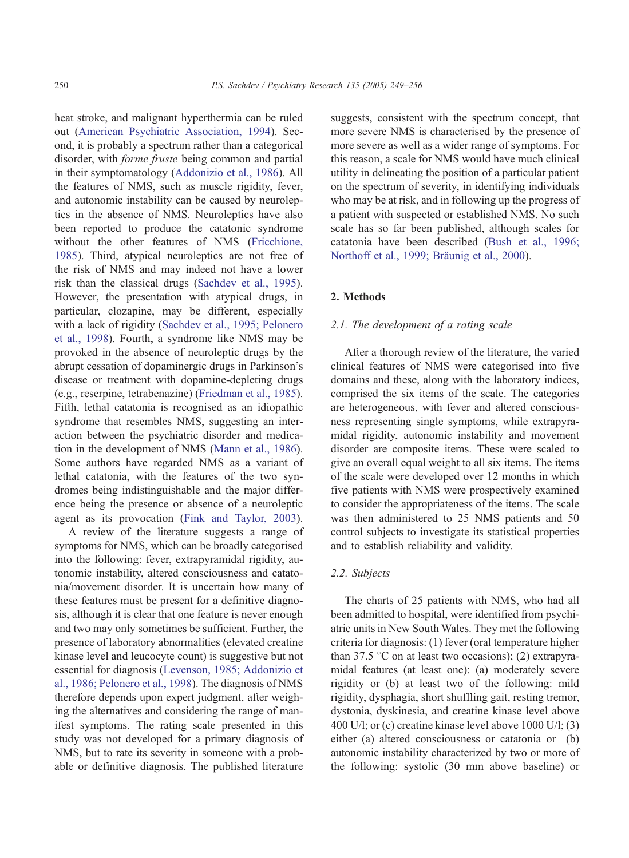heat stroke, and malignant hyperthermia can be ruled out ([American Psychiatric Association, 1994\)](#page-7-0). Second, it is probably a spectrum rather than a categorical disorder, with forme fruste being common and partial in their symptomatology ([Addonizio et al., 1986\)](#page-7-0). All the features of NMS, such as muscle rigidity, fever, and autonomic instability can be caused by neuroleptics in the absence of NMS. Neuroleptics have also been reported to produce the catatonic syndrome without the other features of NMS ([Fricchione,](#page-7-0) 1985). Third, atypical neuroleptics are not free of the risk of NMS and may indeed not have a lower risk than the classical drugs ([Sachdev et al., 1995\)](#page-7-0). However, the presentation with atypical drugs, in particular, clozapine, may be different, especially with a lack of rigidity ([Sachdev et al., 1995; Pelonero](#page-7-0) et al., 1998). Fourth, a syndrome like NMS may be provoked in the absence of neuroleptic drugs by the abrupt cessation of dopaminergic drugs in Parkinson's disease or treatment with dopamine-depleting drugs (e.g., reserpine, tetrabenazine) ([Friedman et al., 1985\)](#page-7-0). Fifth, lethal catatonia is recognised as an idiopathic syndrome that resembles NMS, suggesting an interaction between the psychiatric disorder and medication in the development of NMS ([Mann et al., 1986\)](#page-7-0). Some authors have regarded NMS as a variant of lethal catatonia, with the features of the two syndromes being indistinguishable and the major difference being the presence or absence of a neuroleptic agent as its provocation ([Fink and Taylor, 2003\)](#page-7-0).

A review of the literature suggests a range of symptoms for NMS, which can be broadly categorised into the following: fever, extrapyramidal rigidity, autonomic instability, altered consciousness and catatonia/movement disorder. It is uncertain how many of these features must be present for a definitive diagnosis, although it is clear that one feature is never enough and two may only sometimes be sufficient. Further, the presence of laboratory abnormalities (elevated creatine kinase level and leucocyte count) is suggestive but not essential for diagnosis ([Levenson, 1985; Addonizio et](#page-7-0) al., 1986; Pelonero et al., 1998). The diagnosis of NMS therefore depends upon expert judgment, after weighing the alternatives and considering the range of manifest symptoms. The rating scale presented in this study was not developed for a primary diagnosis of NMS, but to rate its severity in someone with a probable or definitive diagnosis. The published literature

suggests, consistent with the spectrum concept, that more severe NMS is characterised by the presence of more severe as well as a wider range of symptoms. For this reason, a scale for NMS would have much clinical utility in delineating the position of a particular patient on the spectrum of severity, in identifying individuals who may be at risk, and in following up the progress of a patient with suspected or established NMS. No such scale has so far been published, although scales for [catatonia have been described \(Bush et al., 1996;](#page-7-0) Northoff et al., 1999; Bräunig et al., 2000).

### 2. Methods

#### [2.1. The development of a rating scale](#page-7-0)

After a thorough review of the literature, the varied clinical features of NMS were categorised into five domains and these, along with the laboratory indices, comprised the six items of the scale. The categories are heterogeneous, with fever and altered consciousness representing single symptoms, while extrapyramidal rigidity, autonomic instability and movement disorder are composite items. These were scaled to give an overall equal weight to all six items. The items of the scale were developed over 12 months in which five patients with NMS were prospectively examined to consider the appropriateness of the items. The scale was then administered to 25 NMS patients and 50 control subjects to investigate its statistical properties and to establish reliability and validity.

#### 2.2. Subjects

The charts of 25 patients with NMS, who had all been admitted to hospital, were identified from psychiatric units in New South Wales. They met the following criteria for diagnosis: (1) fever (oral temperature higher than 37.5  $\degree$ C on at least two occasions); (2) extrapyra[midal features \(at least one\): \(a\) moderately severe](#page-7-0) rigidity or (b) at least two of the following: mild rigidity, dysphagia, short shuffling gait, resting tremor, dystonia, dyskinesia, and creatine kinase level above 400 U/l; or (c) creatine kinase level above 1000 U/l; (3) either (a) altered consciousness or catatonia or (b) autonomic instability characterized by two or more of the following: systolic (30 mm above baseline) or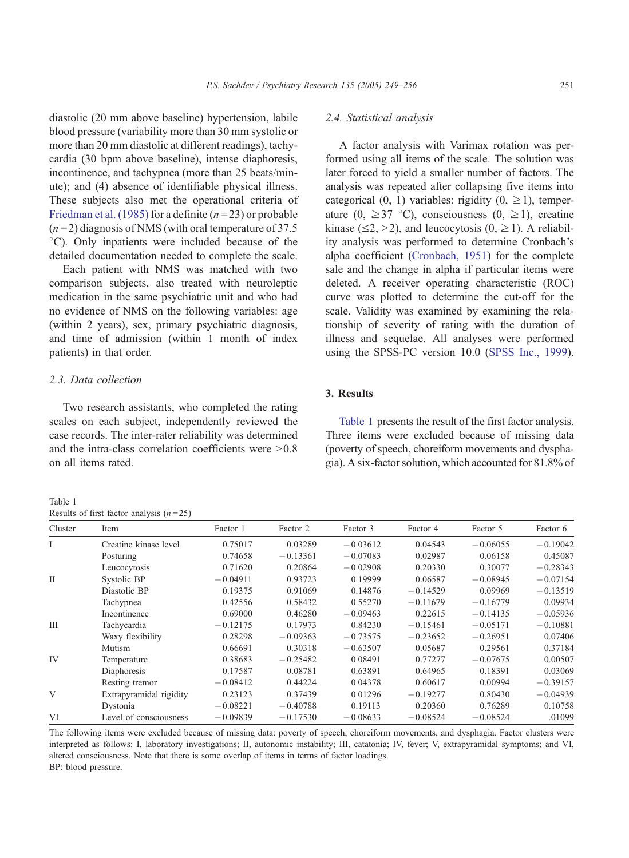diastolic (20 mm above baseline) hypertension, labile blood pressure (variability more than 30 mm systolic or more than 20 mm diastolic at different readings), tachycardia (30 bpm above baseline), intense diaphoresis, incontinence, and tachypnea (more than 25 beats/minute); and (4) absence of identifiable physical illness. These subjects also met the operational criteria of [Friedman et al. \(1985\)](#page-7-0) for a definite  $(n=23)$  or probable  $(n=2)$  diagnosis of NMS (with oral temperature of 37.5 <sup>°</sup>C). Only inpatients were included because of the detailed documentation needed to complete the scale.

Each patient with NMS was matched with two comparison subjects, also treated with neuroleptic medication in the same psychiatric unit and who had no evidence of NMS on the following variables: age (within 2 years), sex, primary psychiatric diagnosis, and time of admission (within 1 month of index patients) in that order.

#### 2.3. Data collection

Two research assistants, who completed the rating scales on each subject, independently reviewed the case records. The inter-rater reliability was determined and the intra-class correlation coefficients were  $>0.8$ on all items rated.

Table 1 Results of first factor analysis  $(n=25)$ 

#### 2.4. Statistical analysis

A factor analysis with Varimax rotation was performed using all items of the scale. The solution was later forced to yield a smaller number of factors. The analysis was repeated after collapsing five items into categorical (0, 1) variables: rigidity (0,  $\geq$  1), temperature (0,  $\geq$  37 °C), consciousness (0,  $\geq$  1), creatine kinase ( $\leq$ 2,  $>$ 2), and leucocytosis (0,  $\geq$ 1). A reliability analysis was performed to determine Cronbach's alpha coefficient ([Cronbach, 1951\)](#page-7-0) for the complete sale and the change in alpha if particular items were deleted. A receiver operating characteristic (ROC) curve was plotted to determine the cut-off for the scale. Validity was examined by examining the relationship of severity of rating with the duration of illness and sequelae. All analyses were performed using the SPSS-PC version 10.0 ([SPSS Inc., 1999\)](#page-7-0).

#### 3. Results

Table 1 presents the result of the first factor analysis. Three items were excluded because of missing data (poverty of speech, choreiform movements and dysphagia). A six-factor solution, which accounted for 81.8% of

|              | Creatine kinase level                                                                                                                                                                                                                                    | 0.75017    | 0.03289    | $-0.03612$ | 0.04543    | $-0.06055$ | $-0.19042$ |
|--------------|----------------------------------------------------------------------------------------------------------------------------------------------------------------------------------------------------------------------------------------------------------|------------|------------|------------|------------|------------|------------|
|              | Posturing                                                                                                                                                                                                                                                | 0.74658    | $-0.13361$ | $-0.07083$ | 0.02987    | 0.06158    | 0.45087    |
|              | Leucocytosis                                                                                                                                                                                                                                             | 0.71620    | 0.20864    | $-0.02908$ | 0.20330    | 0.30077    | $-0.28343$ |
| $\mathbf{I}$ | Systolic BP                                                                                                                                                                                                                                              | $-0.04911$ | 0.93723    | 0.19999    | 0.06587    | $-0.08945$ | $-0.07154$ |
|              | Diastolic BP                                                                                                                                                                                                                                             | 0.19375    | 0.91069    | 0.14876    | $-0.14529$ | 0.09969    | $-0.13519$ |
|              | Tachypnea                                                                                                                                                                                                                                                | 0.42556    | 0.58432    | 0.55270    | $-0.11679$ | $-0.16779$ | 0.09934    |
|              | Incontinence                                                                                                                                                                                                                                             | 0.69000    | 0.46280    | $-0.09463$ | 0.22615    | $-0.14135$ | $-0.05936$ |
| Ш            | Tachycardia                                                                                                                                                                                                                                              | $-0.12175$ | 0.17973    | 0.84230    | $-0.15461$ | $-0.05171$ | $-0.10881$ |
|              | Waxy flexibility                                                                                                                                                                                                                                         | 0.28298    | $-0.09363$ | $-0.73575$ | $-0.23652$ | $-0.26951$ | 0.07406    |
|              | Mutism                                                                                                                                                                                                                                                   | 0.66691    | 0.30318    | $-0.63507$ | 0.05687    | 0.29561    | 0.37184    |
| IV           | Temperature                                                                                                                                                                                                                                              | 0.38683    | $-0.25482$ | 0.08491    | 0.77277    | $-0.07675$ | 0.00507    |
|              | Diaphoresis                                                                                                                                                                                                                                              | 0.17587    | 0.08781    | 0.63891    | 0.64965    | 0.18391    | 0.03069    |
|              | Resting tremor                                                                                                                                                                                                                                           | $-0.08412$ | 0.44224    | 0.04378    | 0.60617    | 0.00994    | $-0.39157$ |
| V            | Extrapyramidal rigidity                                                                                                                                                                                                                                  | 0.23123    | 0.37439    | 0.01296    | $-0.19277$ | 0.80430    | $-0.04939$ |
|              | Dystonia                                                                                                                                                                                                                                                 | $-0.08221$ | $-0.40788$ | 0.19113    | 0.20360    | 0.76289    | 0.10758    |
| VI           | Level of consciousness                                                                                                                                                                                                                                   | $-0.09839$ | $-0.17530$ | $-0.08633$ | $-0.08524$ | $-0.08524$ | .01099     |
|              | The following items were excluded because of missing data: poverty of speech, choreiform movements, and dysphagia. Factor clusters were<br>ा संख्या का साथ पार्टी को साथ पर पार्टी को साथ पर करना है। समय से साथ को साथ पार्टी करना है। साथ साथ पार्टी क |            |            |            |            |            |            |

Cluster Item Factor 1 Factor 2 Factor 3 Factor 4 Factor 5 Factor 6

interpreted as follows: I, laboratory investigations; II, autonomic instability; III, catatonia; IV, fever; V, extrapyramidal symptoms; and VI, altered consciousness. Note that there is some overlap of items in terms of factor loadings. BP: blood pressure.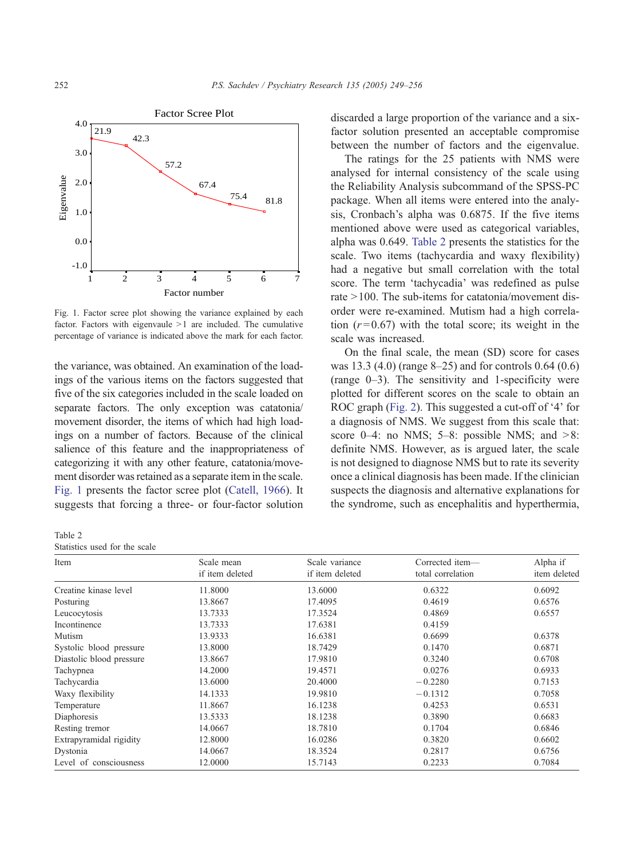

Fig. 1. Factor scree plot showing the variance explained by each factor. Factors with eigenvaule  $>1$  are included. The cumulative percentage of variance is indicated above the mark for each factor.

the variance, was obtained. An examination of the loadings of the various items on the factors suggested that five of the six categories included in the scale loaded on separate factors. The only exception was catatonia/ movement disorder, the items of which had high loadings on a number of factors. Because of the clinical salience of this feature and the inappropriateness of categorizing it with any other feature, catatonia/movement disorder was retained as a separate item in the scale. Fig. 1 presents the factor scree plot ([Catell, 1966\)](#page-7-0). It suggests that forcing a three- or four-factor solution

Table 2 Statistics used for the scale

discarded a large proportion of the variance and a sixfactor solution presented an acceptable compromise between the number of factors and the eigenvalue.

The ratings for the 25 patients with NMS were analysed for internal consistency of the scale using the Reliability Analysis subcommand of the SPSS-PC package. When all items were entered into the analysis, Cronbach's alpha was 0.6875. If the five items mentioned above were used as categorical variables, alpha was 0.649. Table 2 presents the statistics for the scale. Two items (tachycardia and waxy flexibility) had a negative but small correlation with the total score. The term 'tachycadia' was redefined as pulse rate  $>100$ . The sub-items for catatonia/movement disorder were re-examined. Mutism had a high correlation  $(r=0.67)$  with the total score; its weight in the scale was increased.

On the final scale, the mean (SD) score for cases was 13.3 (4.0) (range 8–25) and for controls 0.64 (0.6) (range 0–3). The sensitivity and 1-specificity were plotted for different scores on the scale to obtain an ROC graph ([Fig. 2\)](#page-4-0). This suggested a cut-off of '4' for a diagnosis of NMS. We suggest from this scale that: score  $0-4$ : no NMS;  $5-8$ : possible NMS; and  $>8$ : definite NMS. However, as is argued later, the scale is not designed to diagnose NMS but to rate its severity once a clinical diagnosis has been made. If the clinician suspects the diagnosis and alternative explanations for the syndrome, such as encephalitis and hyperthermia,

| Item                     | Scale mean      | Scale variance  | Corrected item-   | Alpha if     |  |
|--------------------------|-----------------|-----------------|-------------------|--------------|--|
|                          | if item deleted | if item deleted | total correlation | item deleted |  |
| Creatine kinase level    | 11.8000         | 13.6000         | 0.6322            | 0.6092       |  |
| Posturing                | 13.8667         | 17.4095         | 0.4619            | 0.6576       |  |
| Leucocytosis             | 13.7333         | 17.3524         | 0.4869            | 0.6557       |  |
| Incontinence             | 13.7333         | 17.6381         | 0.4159            |              |  |
| Mutism                   | 13.9333         | 16.6381         | 0.6699            | 0.6378       |  |
| Systolic blood pressure  | 13.8000         | 18.7429         | 0.1470            | 0.6871       |  |
| Diastolic blood pressure | 13.8667         | 17.9810         | 0.3240            | 0.6708       |  |
| Tachypnea                | 14.2000         | 19.4571         | 0.0276            | 0.6933       |  |
| Tachycardia              | 13.6000         | 20.4000         | $-0.2280$         | 0.7153       |  |
| Waxy flexibility         | 14.1333         | 19.9810         | $-0.1312$         | 0.7058       |  |
| Temperature              | 11.8667         | 16.1238         | 0.4253            | 0.6531       |  |
| Diaphoresis              | 13.5333         | 18.1238         | 0.3890            | 0.6683       |  |
| Resting tremor           | 14.0667         | 18.7810         | 0.1704            | 0.6846       |  |
| Extrapyramidal rigidity  | 12.8000         | 16.0286         | 0.3820            | 0.6602       |  |
| Dystonia                 | 14.0667         | 18.3524         | 0.2817            | 0.6756       |  |
| Level of consciousness   | 12.0000         | 15.7143         | 0.2233            | 0.7084       |  |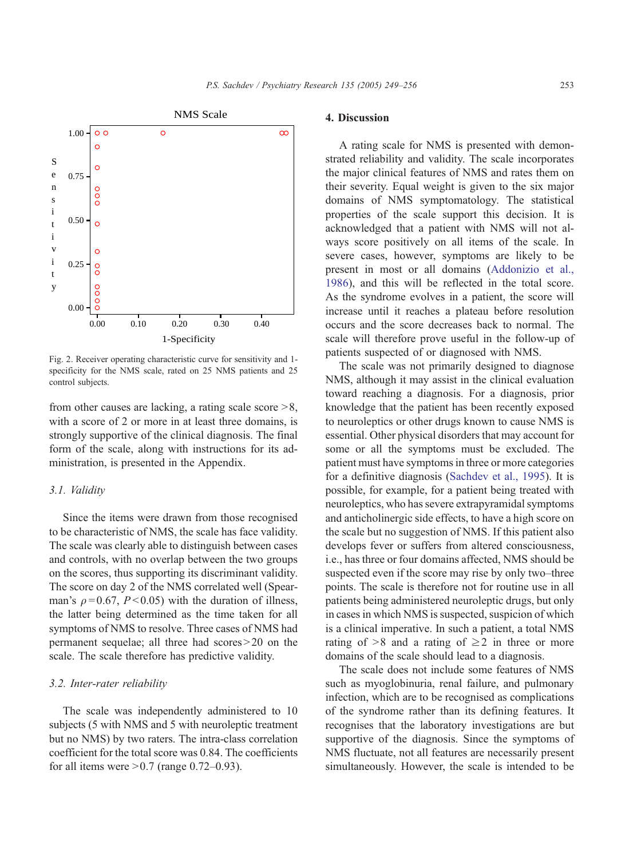<span id="page-4-0"></span>

Fig. 2. Receiver operating characteristic curve for sensitivity and 1 specificity for the NMS scale, rated on 25 NMS patients and 25 control subjects.

from other causes are lacking, a rating scale score  $>8$ , with a score of 2 or more in at least three domains, is strongly supportive of the clinical diagnosis. The final form of the scale, along with instructions for its administration, is presented in the Appendix.

#### 3.1. Validity

Since the items were drawn from those recognised to be characteristic of NMS, the scale has face validity. The scale was clearly able to distinguish between cases and controls, with no overlap between the two groups on the scores, thus supporting its discriminant validity. The score on day 2 of the NMS correlated well (Spearman's  $\rho = 0.67$ ,  $P < 0.05$ ) with the duration of illness, the latter being determined as the time taken for all symptoms of NMS to resolve. Three cases of NMS had permanent sequelae; all three had scores $>$ 20 on the scale. The scale therefore has predictive validity.

#### 3.2. Inter-rater reliability

The scale was independently administered to 10 subjects (5 with NMS and 5 with neuroleptic treatment but no NMS) by two raters. The intra-class correlation coefficient for the total score was 0.84. The coefficients for all items were  $> 0.7$  (range 0.72–0.93).

#### 4. Discussion

A rating scale for NMS is presented with demonstrated reliability and validity. The scale incorporates the major clinical features of NMS and rates them on their severity. Equal weight is given to the six major domains of NMS symptomatology. The statistical properties of the scale support this decision. It is acknowledged that a patient with NMS will not always score positively on all items of the scale. In severe cases, however, symptoms are likely to be present in most or all domains ([Addonizio et al.,](#page-7-0) 1986), and this will be reflected in the total score. As the syndrome evolves in a patient, the score will increase until it reaches a plateau before resolution occurs and the score decreases back to normal. The scale will therefore prove useful in the follow-up of patients suspected of or diagnosed with NMS.

The scale was not primarily designed to diagnose NMS, although it may assist in the clinical evaluation toward reaching a diagnosis. For a diagnosis, prior knowledge that the patient has been recently exposed to neuroleptics or other drugs known to cause NMS is essential. Other physical disorders that may account for some or all the symptoms must be excluded. The patient must have symptoms in three or more categories for a definitive diagnosis ([Sachdev et al., 1995\)](#page-7-0). It is possible, for example, for a patient being treated with neuroleptics, who has severe extrapyramidal symptoms and anticholinergic side effects, to have a high score on the scale but no suggestion of NMS. If this patient also develops fever or suffers from altered consciousness, i.e., has three or four domains affected, NMS should be suspected even if the score may rise by only two–three points. The scale is therefore not for routine use in all patients being administered neuroleptic drugs, but only in cases in which NMS is suspected, suspicion of which is a clinical imperative. In such a patient, a total NMS rating of  $>8$  and a rating of  $\geq 2$  in three or more domains of the scale should lead to a diagnosis.

The scale does not include some features of NMS such as myoglobinuria, renal failure, and pulmonary infection, which are to be recognised as complications of the syndrome rather than its defining features. It recognises that the laboratory investigations are but supportive of the diagnosis. Since the symptoms of NMS fluctuate, not all features are necessarily present simultaneously. However, the scale is intended to be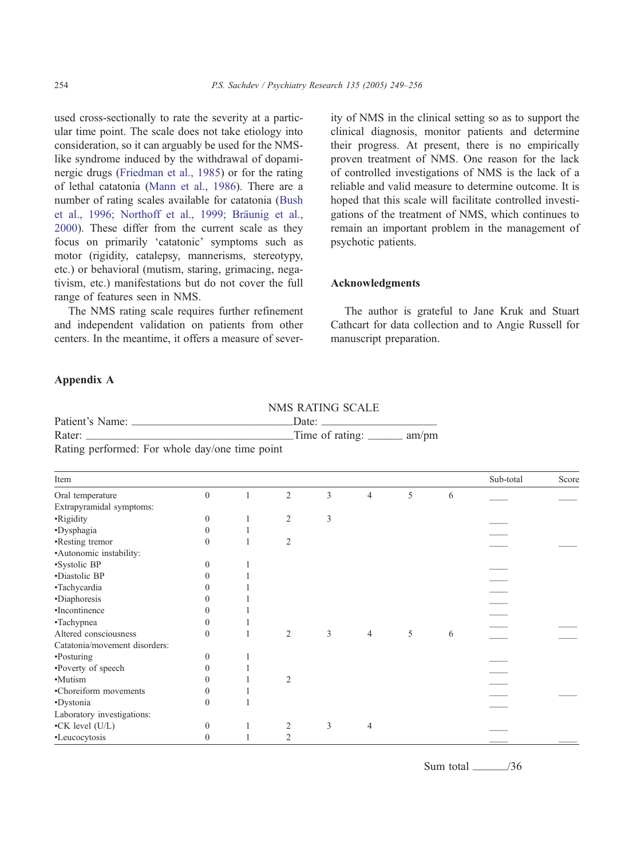used cross-sectionally to rate the severity at a particular time point. The scale does not take etiology into consideration, so it can arguably be used for the NMSlike syndrome induced by the withdrawal of dopaminergic drugs ([Friedman et al., 1985\)](#page-7-0) or for the rating of lethal catatonia [\(Mann et al., 1986\)](#page-7-0). There are a number of rating scales available for catatonia ([Bush](#page-7-0) et al., 1996; Northoff et al., 1999; Bräunig et al., 2000). These differ from the current scale as they focus on primarily 'catatonic' symptoms such as motor (rigidity, catalepsy, mannerisms, stereotypy, etc.) or behavioral (mutism, staring, grimacing, negativism, etc.) manifestations but do not cover the full range of features seen in NMS.

The NMS rating scale requires further refinement and independent validation on patients from other centers. In the meantime, it offers a measure of sever-

Patient's Name: \_\_\_\_\_\_\_\_\_\_\_\_\_\_\_\_\_\_\_\_\_\_\_\_\_\_\_\_Date: \_\_\_\_\_\_\_\_\_\_\_\_\_\_\_\_\_\_\_\_

ity of NMS in the clinical setting so as to support the clinical diagnosis, monitor patients and determine their progress. At present, there is no empirically proven treatment of NMS. One reason for the lack of controlled investigations of NMS is the lack of a reliable and valid measure to determine outcome. It is [hoped that this scale will facilitate controlled investi](#page-7-0)gations of the treatment of NMS, which continues to remain an important problem in the management of psychotic patients.

## Acknowledgments

The author is grateful to Jane Kruk and Stuart Cathcart for data collection and to Angie Russell for manuscript preparation.

### Appendix A

| $\frac{1}{2}$ allent s $\frac{1}{2}$ value.<br>Rater:<br><u> 1989 - Johann John Stone, mars eta bainar eta baina eta baina eta baina eta baina eta baina eta baina eta ba</u> |          |   |                | vaiv.<br>Time of rating: _______ am/pm |                |   |   |           |       |
|-------------------------------------------------------------------------------------------------------------------------------------------------------------------------------|----------|---|----------------|----------------------------------------|----------------|---|---|-----------|-------|
| Rating performed: For whole day/one time point                                                                                                                                |          |   |                |                                        |                |   |   |           |       |
| Item                                                                                                                                                                          |          |   |                |                                        |                |   |   | Sub-total | Score |
| Oral temperature                                                                                                                                                              | $\theta$ |   | $\overline{2}$ | 3                                      | $\overline{4}$ | 5 | 6 |           |       |
| Extrapyramidal symptoms:                                                                                                                                                      |          |   |                |                                        |                |   |   |           |       |
| •Rigidity                                                                                                                                                                     | $\Omega$ |   | $\overline{c}$ | 3                                      |                |   |   |           |       |
| ·Dysphagia                                                                                                                                                                    | 0        |   |                |                                        |                |   |   |           |       |
| •Resting tremor                                                                                                                                                               | 0        |   | $\overline{2}$ |                                        |                |   |   |           |       |
| •Autonomic instability:                                                                                                                                                       |          |   |                |                                        |                |   |   |           |       |
| ·Systolic BP                                                                                                                                                                  | $\Omega$ |   |                |                                        |                |   |   |           |       |
| •Diastolic BP                                                                                                                                                                 |          |   |                |                                        |                |   |   |           |       |
| ·Tachycardia                                                                                                                                                                  |          |   |                |                                        |                |   |   |           |       |
| •Diaphoresis                                                                                                                                                                  |          |   |                |                                        |                |   |   |           |       |
| •Incontinence                                                                                                                                                                 |          |   |                |                                        |                |   |   |           |       |
| •Tachypnea                                                                                                                                                                    | $\theta$ |   |                |                                        |                |   |   |           |       |
| Altered consciousness                                                                                                                                                         | $\Omega$ |   | $\overline{2}$ | 3                                      | $\overline{4}$ | 5 | 6 |           |       |
| Catatonia/movement disorders:                                                                                                                                                 |          |   |                |                                        |                |   |   |           |       |
| •Posturing                                                                                                                                                                    | 0        |   |                |                                        |                |   |   |           |       |
| •Poverty of speech                                                                                                                                                            |          |   |                |                                        |                |   |   |           |       |
| •Mutism                                                                                                                                                                       |          |   | $\overline{2}$ |                                        |                |   |   |           |       |
| •Choreiform movements                                                                                                                                                         |          |   |                |                                        |                |   |   |           |       |
| ·Dystonia                                                                                                                                                                     | $\Omega$ |   |                |                                        |                |   |   |           |       |
| Laboratory investigations:                                                                                                                                                    |          |   |                |                                        |                |   |   |           |       |
| $\bullet$ CK level (U/L)                                                                                                                                                      | $\Omega$ | 1 | $\overline{c}$ | 3                                      | $\overline{4}$ |   |   |           |       |
| •Leucocytosis                                                                                                                                                                 | $\theta$ |   | 2              |                                        |                |   |   |           |       |

NMS RATING SCALE

Sum total  $\frac{1}{36}$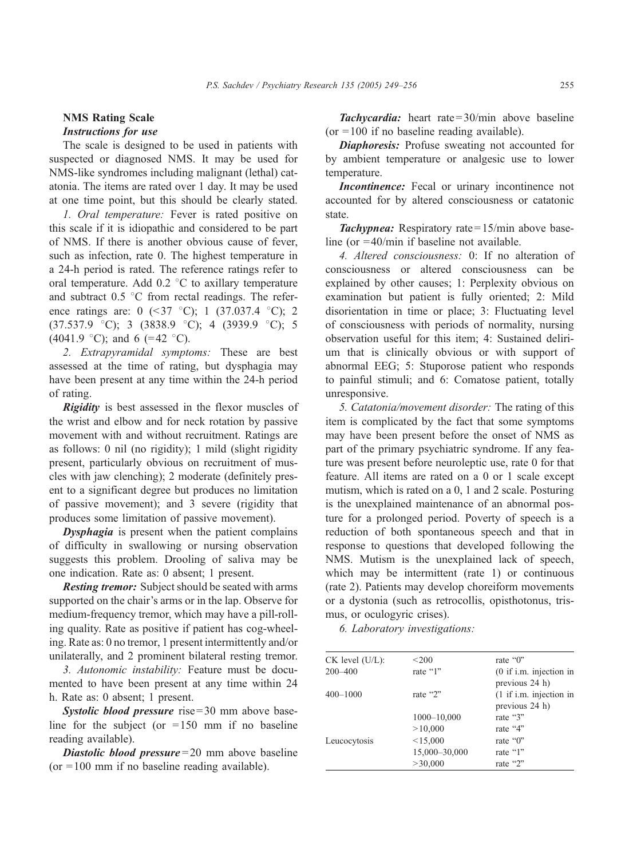## NMS Rating Scale Instructions for use

The scale is designed to be used in patients with suspected or diagnosed NMS. It may be used for NMS-like syndromes including malignant (lethal) catatonia. The items are rated over 1 day. It may be used at one time point, but this should be clearly stated.

1. Oral temperature: Fever is rated positive on this scale if it is idiopathic and considered to be part of NMS. If there is another obvious cause of fever, such as infection, rate 0. The highest temperature in a 24-h period is rated. The reference ratings refer to oral temperature. Add  $0.2 \degree$ C to axillary temperature and subtract  $0.5 \degree$ C from rectal readings. The reference ratings are: 0  $(\leq 37 \degree C)$ ; 1  $(37.037.4 \degree C)$ ; 2  $(37.537.9 \text{ °C});$  3  $(3838.9 \text{ °C});$  4  $(3939.9 \text{ °C});$  5 (4041.9 °C); and 6 (=42 °C).

2. Extrapyramidal symptoms: These are best assessed at the time of rating, but dysphagia may have been present at any time within the 24-h period of rating.

**Rigidity** is best assessed in the flexor muscles of the wrist and elbow and for neck rotation by passive movement with and without recruitment. Ratings are as follows: 0 nil (no rigidity); 1 mild (slight rigidity present, particularly obvious on recruitment of muscles with jaw clenching); 2 moderate (definitely present to a significant degree but produces no limitation of passive movement); and 3 severe (rigidity that produces some limitation of passive movement).

**Dysphagia** is present when the patient complains of difficulty in swallowing or nursing observation suggests this problem. Drooling of saliva may be one indication. Rate as: 0 absent; 1 present.

**Resting tremor:** Subject should be seated with arms supported on the chair's arms or in the lap. Observe for medium-frequency tremor, which may have a pill-rolling quality. Rate as positive if patient has cog-wheeling. Rate as: 0 no tremor, 1 present intermittently and/or unilaterally, and 2 prominent bilateral resting tremor.

3. Autonomic instability: Feature must be documented to have been present at any time within 24 h. Rate as: 0 absent; 1 present.

Systolic blood pressure rise  $= 30$  mm above baseline for the subject (or  $=150$  mm if no baseline reading available).

**Diastolic blood pressure** = 20 mm above baseline (or  $= 100$  mm if no baseline reading available).

Tachycardia: heart rate=30/min above baseline  $(or = 100$  if no baseline reading available).

Diaphoresis: Profuse sweating not accounted for by ambient temperature or analgesic use to lower temperature.

Incontinence: Fecal or urinary incontinence not accounted for by altered consciousness or catatonic state.

**Tachypnea:** Respiratory rate =  $15/\text{min}$  above baseline (or =40/min if baseline not available.

4. Altered consciousness: 0: If no alteration of consciousness or altered consciousness can be explained by other causes; 1: Perplexity obvious on examination but patient is fully oriented; 2: Mild disorientation in time or place; 3: Fluctuating level of consciousness with periods of normality, nursing observation useful for this item; 4: Sustained delirium that is clinically obvious or with support of abnormal EEG; 5: Stuporose patient who responds to painful stimuli; and 6: Comatose patient, totally unresponsive.

5. Catatonia/movement disorder: The rating of this item is complicated by the fact that some symptoms may have been present before the onset of NMS as part of the primary psychiatric syndrome. If any feature was present before neuroleptic use, rate 0 for that feature. All items are rated on a 0 or 1 scale except mutism, which is rated on a 0, 1 and 2 scale. Posturing is the unexplained maintenance of an abnormal posture for a prolonged period. Poverty of speech is a reduction of both spontaneous speech and that in response to questions that developed following the NMS. Mutism is the unexplained lack of speech, which may be intermittent (rate 1) or continuous (rate 2). Patients may develop choreiform movements or a dystonia (such as retrocollis, opisthotonus, trismus, or oculogyric crises).

6. Laboratory investigations:

| $CK$ level $(U/L)$ : | < 200         | rate "0"                                    |
|----------------------|---------------|---------------------------------------------|
| $200 - 400$          | rate "1"      | $(0$ if i.m. injection in<br>previous 24 h) |
| $400 - 1000$         | rate "2"      | $(1$ if i.m. injection in<br>previous 24 h) |
|                      | 1000-10,000   | rate "3"                                    |
|                      | >10,000       | rate "4"                                    |
| Leucocytosis         | < 15,000      | rate "0"                                    |
|                      | 15,000-30,000 | rate "1"                                    |
|                      | >30,000       | rate "2"                                    |